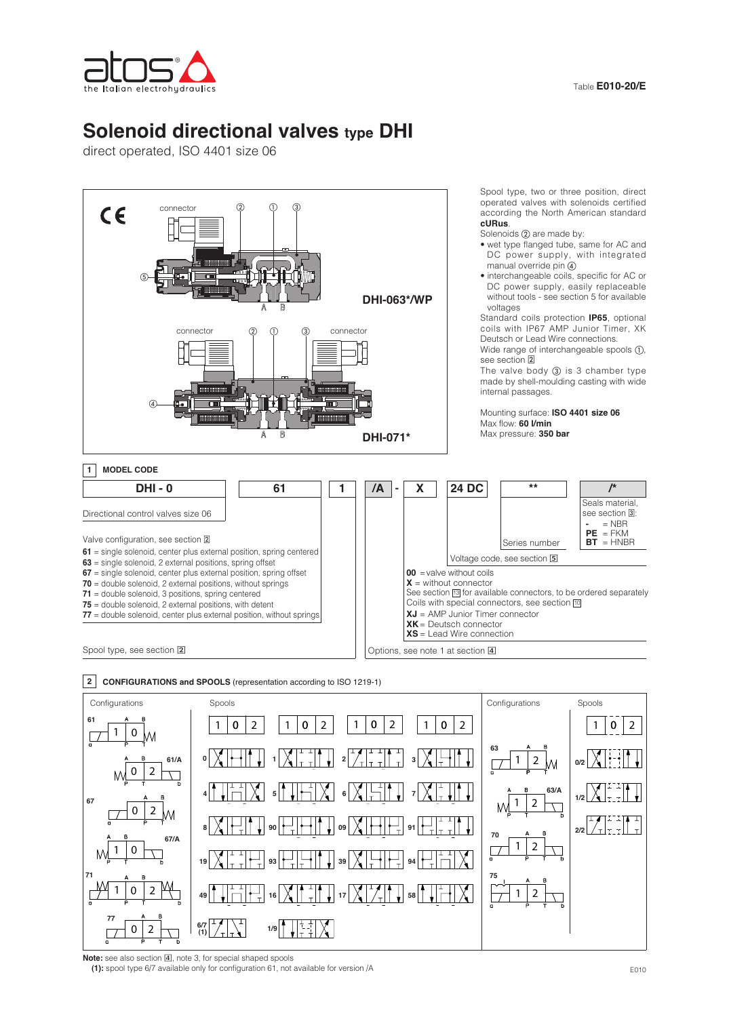# **Solenoid directional valves type DHI**

direct operated, ISO 4401 size 06





**2 CONFIGURATIONS and SPOOLS** (representation according to ISO 1219-1)

Note: see also section 4, note 3, for special shaped spools

**(1):** spool type 6/7 available only for configuration 61, not available for version /A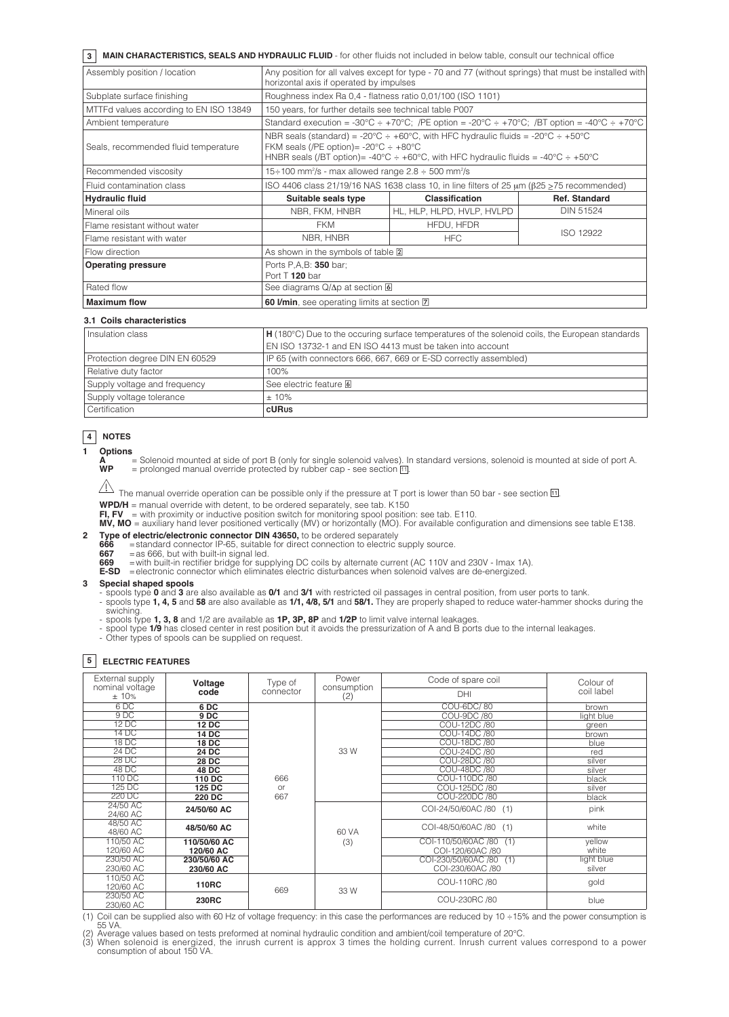## **3 MAIN CHARACTERISTICS, SEALS AND HYDRAULIC FLUID** - for other fluids not included in below table, consult our technical office

| Assembly position / location           | Any position for all valves except for type - 70 and 77 (without springs) that must be installed with<br>horizontal axis if operated by impulses                                                                                                           |                                                                                                           |                      |  |  |
|----------------------------------------|------------------------------------------------------------------------------------------------------------------------------------------------------------------------------------------------------------------------------------------------------------|-----------------------------------------------------------------------------------------------------------|----------------------|--|--|
| Subplate surface finishing             | Roughness index Ra 0.4 - flatness ratio 0.01/100 (ISO 1101)                                                                                                                                                                                                |                                                                                                           |                      |  |  |
| MTTFd values according to EN ISO 13849 | 150 years, for further details see technical table P007                                                                                                                                                                                                    |                                                                                                           |                      |  |  |
| Ambient temperature                    |                                                                                                                                                                                                                                                            | Standard execution = -30°C $\div$ +70°C; /PE option = -20°C $\div$ +70°C; /BT option = -40°C $\div$ +70°C |                      |  |  |
| Seals, recommended fluid temperature   | NBR seals (standard) = -20°C $\div$ +60°C, with HFC hydraulic fluids = -20°C $\div$ +50°C<br>FKM seals (/PE option)= $-20^{\circ}$ C $\div$ $+80^{\circ}$ C<br>HNBR seals (/BT option)= -40°C $\div$ +60°C, with HFC hydraulic fluids = -40°C $\div$ +50°C |                                                                                                           |                      |  |  |
| Recommended viscosity                  | $15 \div 100$ mm <sup>2</sup> /s - max allowed range $2.8 \div 500$ mm <sup>2</sup> /s                                                                                                                                                                     |                                                                                                           |                      |  |  |
| l Fluid contamination class            | ISO 4406 class 21/19/16 NAS 1638 class 10, in line filters of 25 μm (β25 $\ge$ 75 recommended)                                                                                                                                                             |                                                                                                           |                      |  |  |
| <b>Hydraulic fluid</b>                 | Suitable seals type                                                                                                                                                                                                                                        | <b>Classification</b>                                                                                     | <b>Ref. Standard</b> |  |  |
| Mineral oils                           | NBR, FKM, HNBR                                                                                                                                                                                                                                             | HL, HLP, HLPD, HVLP, HVLPD                                                                                | DIN 51524            |  |  |
| Flame resistant without water          | <b>FKM</b>                                                                                                                                                                                                                                                 | HFDU, HFDR                                                                                                |                      |  |  |
| Flame resistant with water             | NBR, HNBR                                                                                                                                                                                                                                                  | <b>HFC</b>                                                                                                | ISO 12922            |  |  |
| Flow direction                         | As shown in the symbols of table 2                                                                                                                                                                                                                         |                                                                                                           |                      |  |  |
| <b>Operating pressure</b>              | Ports P, A, B: 350 bar;<br>Port $T$ 120 bar                                                                                                                                                                                                                |                                                                                                           |                      |  |  |
| Rated flow                             | See diagrams $Q/\Delta p$ at section $\boxed{6}$                                                                                                                                                                                                           |                                                                                                           |                      |  |  |
| <b>Maximum flow</b>                    | 60 I/min, see operating limits at section <b>7</b>                                                                                                                                                                                                         |                                                                                                           |                      |  |  |

#### **3.1 Coils characteristics**

| Insulation class               | H (180°C) Due to the occuring surface temperatures of the solenoid coils, the European standards |  |  |
|--------------------------------|--------------------------------------------------------------------------------------------------|--|--|
|                                | EN ISO 13732-1 and EN ISO 4413 must be taken into account                                        |  |  |
| Protection degree DIN EN 60529 | IP 65 (with connectors 666, 667, 669 or E-SD correctly assembled)                                |  |  |
| Relative duty factor           | 100%                                                                                             |  |  |
| Supply voltage and frequency   | See electric feature <b>6</b>                                                                    |  |  |
| Supply voltage tolerance       | $±10\%$                                                                                          |  |  |
| Certification                  | cURus                                                                                            |  |  |

## **4 NOTES**

**1 Options**  $=$  Solenoid mounted at side of port B (only for single solenoid valves). In standard versions, solenoid is mounted at side of port A.  $WP =$  prolonged manual override protected by rubber cap - see section  $\boxed{11}$ .

The manual override operation can be possible only if the pressure at T port is lower than 50 bar - see section  $\overline{11}$ .

**WPD/H** = manual override with detent, to be ordered separately, see tab. K150

**FI, FV** = with proximity or inductive position switch for monitoring spool position: see tab. E110.<br>**MV, MO** = auxiliary hand lever positioned vertically (MV) or horizontally (MO). For available configuration and dimensio

- **2 Type of electric/electronic connector DIN 43650,** to be ordered separately<br>666 = standard connector IP-65 suitable for direct connection to electric
- **666** = standard connector IP-65, suitable for direct connection to electric supply source.<br>**667** = as 666, but with built-in signal led.
	-

669 = with built-in rectifier bridge for supplying DC coils by alternate current (AC 110V and 230V - Imax 1A).<br>E-SD = electronic connector which eliminates electric disturbances when solenoid valves are de-energized.

#### **3 Special shaped spools**

- spools type **0** and **3** are also available as **0/1** and **3/1** with restricted oil passages in central position, from user ports to tank.

- spools type **1, 4, 5** and **58** are also available as **1/1, 4/8, 5/1** and **58/1.** They are properly shaped to reduce water-hammer shocks during the swiching.
- spools type **1, 3, 8** and 1/2 are available as **1P, 3P, 8P** and **1/2P** to limit valve internal leakages.
- spool type **1/9** has closed center in rest position but it avoids the pressurization of A and B ports due to the internal leakages. Other types of spools can be supplied on request.
	-

## **5 ELECTRIC FEATURES**

| External supply                                                                  | Voltage                                        | Type of                     | Power              | Code of spare coil      | Colour of  |  |
|----------------------------------------------------------------------------------|------------------------------------------------|-----------------------------|--------------------|-------------------------|------------|--|
| nominal voltage<br>code<br>±10%                                                  |                                                | connector                   | consumption<br>(2) | DHI                     | coil label |  |
| 6DC                                                                              | 6 DC                                           |                             | 33 W               | COU-6DC/80              | brown      |  |
| 9DC                                                                              | 9DC                                            |                             |                    | <b>COU-9DC /80</b>      | light blue |  |
| $12\overline{DC}$                                                                | 12 DC                                          |                             |                    | COU-12DC /80            | green      |  |
| 14 DC                                                                            | 14 DC                                          |                             |                    | COU-14DC /80            | brown      |  |
| <b>18 DC</b>                                                                     | 18 DC                                          |                             |                    | COU-18DC /80            | blue       |  |
| 24 DC                                                                            | 24 DC                                          |                             |                    | COU-24DC /80            | red        |  |
| 28 DC                                                                            | 28 DC                                          |                             |                    | COU-28DC /80            | silver     |  |
| 48 DC                                                                            | 48 DC                                          |                             |                    | COU-48DC /80            | silver     |  |
| 110 DC                                                                           | 110 DC                                         | 666<br>or                   |                    | COU-110DC /80           | black      |  |
| 125 DC                                                                           | 125 DC<br>220 DC<br>24/50/60 AC<br>48/50/60 AC |                             |                    | COU-125DC /80           | silver     |  |
| 220 DC                                                                           |                                                | 667                         |                    | COU-220DC /80           | black      |  |
| 24/50 AC<br>24/60 AC                                                             |                                                |                             |                    | COI-24/50/60AC /80 (1)  | pink       |  |
| 48/50 AC<br>48/60 AC                                                             |                                                |                             | 60 VA              | COI-48/50/60AC /80 (1)  | white      |  |
| 110/50 AC<br>110/50/60 AC<br>120/60 AC<br>120/60 AC<br>230/50 AC<br>230/50/60 AC |                                                |                             | (3)                | COI-110/50/60AC /80 (1) | yellow     |  |
|                                                                                  |                                                |                             |                    | COI-120/60AC /80        | white      |  |
|                                                                                  | 230/60 AC                                      |                             |                    | COI-230/50/60AC /80 (1) | light blue |  |
| 230/60 AC                                                                        |                                                |                             |                    | COI-230/60AC /80        | silver     |  |
| 110/50 AC                                                                        |                                                |                             |                    | COU-110RC /80           | gold       |  |
| 120/60 AC                                                                        |                                                | <b>110RC</b><br>669<br>33 W |                    |                         |            |  |
| 230/50 AC<br>230/60 AC                                                           | 230RC                                          |                             |                    | COU-230RC /80           | blue       |  |

(1) Coil can be supplied also with 60 Hz of voltage frequency: in this case the performances are reduced by 10 ÷15% and the power consumption is 55 VA.

(2) Average values based on tests preformed at nominal hydraulic condition and ambient/coil temperature of 20°C.<br>(3) When solenoid is energized, the inrush current is approx 3 times the holding current. Inrush current valu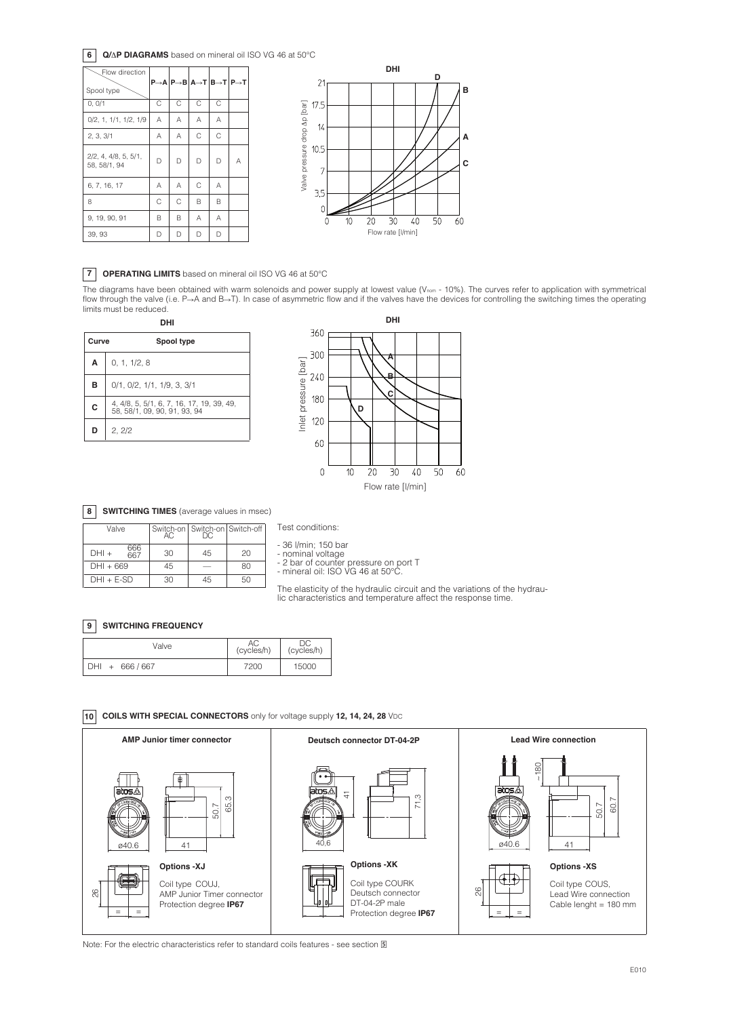### **6 Q/** $\triangle$ **P DIAGRAMS** based on mineral oil ISO VG 46 at 50°C





## **7 OPERATING LIMITS** based on mineral oil ISO VG 46 at 50°C

The diagrams have been obtained with warm solenoids and power supply at lowest value (Vnom - 10%). The curves refer to application with symmetrical flow through the valve (i.e. P→A and B→T). In case of asymmetric flow and if the valves have the devices for controlling the switching times the operating limits must be reduced.

| Curve | Spool type                                                          |  |  |  |  |  |
|-------|---------------------------------------------------------------------|--|--|--|--|--|
| A     | 0, 1, 1/2, 8                                                        |  |  |  |  |  |
| в     | 0/1, 0/2, 1/1, 1/9, 3, 3/1                                          |  |  |  |  |  |
| C     | 4, 4/8, 5, 5/1, 6, 7, 16, 17, 19, 39, 49,<br>58.58/1.09.90.91.93.94 |  |  |  |  |  |
| D     | 2, 2/2                                                              |  |  |  |  |  |



## **8 SWITCHING TIMES** (average values in msec)

| Valve        |     | Switch-on   Switch-on   Switch-off |    |    |  |
|--------------|-----|------------------------------------|----|----|--|
| $DHI +$      | 666 | 30                                 | 45 | 20 |  |
| $DHI + 669$  |     | 45                                 |    | RΩ |  |
| $DHI + E-SD$ |     | 30                                 | 45 | 50 |  |

Test conditions:

- <sup>36</sup> l/min; <sup>150</sup> bar - nominal voltage - <sup>2</sup> bar of counter pressure on port <sup>T</sup> - mineral oil: ISO VG <sup>46</sup> at 50°C.

The elasticity of the hydraulic circuit and the variations of the hydrau- lic characteristics and temperature affect the response time.

#### **9 SWITCHING FREQUENCY**

| Valve              | (cycles/h) | (cycles/h) |  |
|--------------------|------------|------------|--|
| DHI +<br>666 / 667 | 7200       | 15000      |  |

**10 COILS WITH SPECIAL CONNECTORS** only for voltage supply **12, 14, 24, 28** VDC



Note: For the electric characteristics refer to standard coils features - see section 国